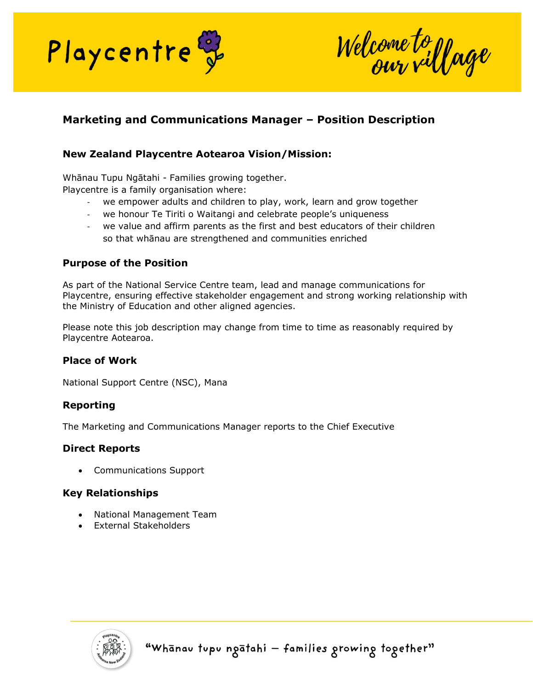

Welcome to yoge

# **Marketing and Communications Manager – Position Description**

## **New Zealand Playcentre Aotearoa Vision/Mission:**

Whānau Tupu Ngātahi - Families growing together. Playcentre is a family organisation where:

- we empower adults and children to play, work, learn and grow together
- we honour Te Tiriti o Waitangi and celebrate people's uniqueness
- we value and affirm parents as the first and best educators of their children so that whānau are strengthened and communities enriched

### **Purpose of the Position**

As part of the National Service Centre team, lead and manage communications for Playcentre, ensuring effective stakeholder engagement and strong working relationship with the Ministry of Education and other aligned agencies.

Please note this job description may change from time to time as reasonably required by Playcentre Aotearoa.

#### **Place of Work**

National Support Centre (NSC), Mana

#### **Reporting**

The Marketing and Communications Manager reports to the Chief Executive

#### **Direct Reports**

• Communications Support

#### **Key Relationships**

- National Management Team
- External Stakeholders

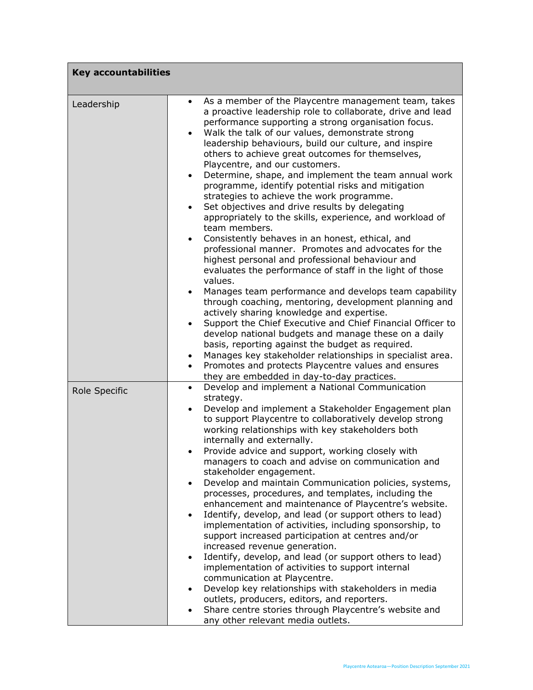| <b>Key accountabilities</b> |                                                                                                                                                                                                                                                                                                                                                                                                                                                                                                                                                                                                                                                                                                                                                                                                                                                                                                                                                                                                                                                                                                                                                                                                                                                                                                                                               |
|-----------------------------|-----------------------------------------------------------------------------------------------------------------------------------------------------------------------------------------------------------------------------------------------------------------------------------------------------------------------------------------------------------------------------------------------------------------------------------------------------------------------------------------------------------------------------------------------------------------------------------------------------------------------------------------------------------------------------------------------------------------------------------------------------------------------------------------------------------------------------------------------------------------------------------------------------------------------------------------------------------------------------------------------------------------------------------------------------------------------------------------------------------------------------------------------------------------------------------------------------------------------------------------------------------------------------------------------------------------------------------------------|
| Leadership                  | As a member of the Playcentre management team, takes<br>$\bullet$<br>a proactive leadership role to collaborate, drive and lead<br>performance supporting a strong organisation focus.<br>Walk the talk of our values, demonstrate strong<br>$\bullet$<br>leadership behaviours, build our culture, and inspire<br>others to achieve great outcomes for themselves,<br>Playcentre, and our customers.<br>Determine, shape, and implement the team annual work<br>$\bullet$<br>programme, identify potential risks and mitigation<br>strategies to achieve the work programme.<br>Set objectives and drive results by delegating<br>$\bullet$<br>appropriately to the skills, experience, and workload of<br>team members.<br>Consistently behaves in an honest, ethical, and<br>$\bullet$<br>professional manner. Promotes and advocates for the<br>highest personal and professional behaviour and<br>evaluates the performance of staff in the light of those<br>values.<br>Manages team performance and develops team capability<br>$\bullet$<br>through coaching, mentoring, development planning and<br>actively sharing knowledge and expertise.<br>Support the Chief Executive and Chief Financial Officer to<br>$\bullet$<br>develop national budgets and manage these on a daily<br>basis, reporting against the budget as required. |
|                             | Manages key stakeholder relationships in specialist area.<br>$\bullet$<br>Promotes and protects Playcentre values and ensures<br>$\bullet$<br>they are embedded in day-to-day practices.                                                                                                                                                                                                                                                                                                                                                                                                                                                                                                                                                                                                                                                                                                                                                                                                                                                                                                                                                                                                                                                                                                                                                      |
| Role Specific               | Develop and implement a National Communication<br>$\bullet$<br>strategy.<br>Develop and implement a Stakeholder Engagement plan<br>$\bullet$<br>to support Playcentre to collaboratively develop strong<br>working relationships with key stakeholders both<br>internally and externally.<br>Provide advice and support, working closely with<br>managers to coach and advise on communication and<br>stakeholder engagement.<br>Develop and maintain Communication policies, systems,<br>$\bullet$<br>processes, procedures, and templates, including the<br>enhancement and maintenance of Playcentre's website.<br>Identify, develop, and lead (or support others to lead)<br>implementation of activities, including sponsorship, to<br>support increased participation at centres and/or<br>increased revenue generation.<br>Identify, develop, and lead (or support others to lead)<br>$\bullet$<br>implementation of activities to support internal<br>communication at Playcentre.<br>Develop key relationships with stakeholders in media<br>$\bullet$<br>outlets, producers, editors, and reporters.<br>Share centre stories through Playcentre's website and<br>any other relevant media outlets.                                                                                                                                  |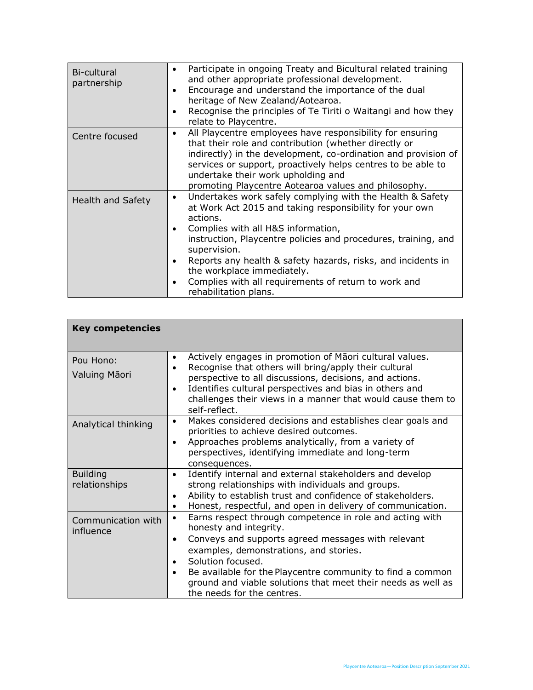| Bi-cultural<br>partnership | Participate in ongoing Treaty and Bicultural related training<br>$\bullet$<br>and other appropriate professional development.<br>Encourage and understand the importance of the dual<br>$\bullet$<br>heritage of New Zealand/Aotearoa.<br>Recognise the principles of Te Tiriti o Waitangi and how they<br>$\bullet$<br>relate to Playcentre.                                                                                                                          |
|----------------------------|------------------------------------------------------------------------------------------------------------------------------------------------------------------------------------------------------------------------------------------------------------------------------------------------------------------------------------------------------------------------------------------------------------------------------------------------------------------------|
| Centre focused             | All Playcentre employees have responsibility for ensuring<br>٠<br>that their role and contribution (whether directly or<br>indirectly) in the development, co-ordination and provision of<br>services or support, proactively helps centres to be able to<br>undertake their work upholding and<br>promoting Playcentre Aotearoa values and philosophy.                                                                                                                |
| <b>Health and Safety</b>   | Undertakes work safely complying with the Health & Safety<br>٠<br>at Work Act 2015 and taking responsibility for your own<br>actions.<br>Complies with all H&S information,<br>$\bullet$<br>instruction, Playcentre policies and procedures, training, and<br>supervision.<br>Reports any health & safety hazards, risks, and incidents in<br>$\bullet$<br>the workplace immediately.<br>Complies with all requirements of return to work and<br>rehabilitation plans. |

| <b>Key competencies</b>          |                                                                                                                                                                                                                                                                                                                                                                                                            |
|----------------------------------|------------------------------------------------------------------------------------------------------------------------------------------------------------------------------------------------------------------------------------------------------------------------------------------------------------------------------------------------------------------------------------------------------------|
| Pou Hono:<br>Valuing Māori       | Actively engages in promotion of Māori cultural values.<br>$\bullet$<br>Recognise that others will bring/apply their cultural<br>$\bullet$<br>perspective to all discussions, decisions, and actions.<br>Identifies cultural perspectives and bias in others and<br>$\bullet$<br>challenges their views in a manner that would cause them to<br>self-reflect.                                              |
| Analytical thinking              | Makes considered decisions and establishes clear goals and<br>$\bullet$<br>priorities to achieve desired outcomes.<br>Approaches problems analytically, from a variety of<br>$\bullet$<br>perspectives, identifying immediate and long-term<br>consequences.                                                                                                                                               |
| <b>Building</b><br>relationships | Identify internal and external stakeholders and develop<br>$\bullet$<br>strong relationships with individuals and groups.<br>Ability to establish trust and confidence of stakeholders.<br>$\bullet$<br>Honest, respectful, and open in delivery of communication.<br>$\bullet$                                                                                                                            |
| Communication with<br>influence  | Earns respect through competence in role and acting with<br>$\bullet$<br>honesty and integrity.<br>Conveys and supports agreed messages with relevant<br>$\bullet$<br>examples, demonstrations, and stories.<br>Solution focused.<br>$\bullet$<br>Be available for the Playcentre community to find a common<br>ground and viable solutions that meet their needs as well as<br>the needs for the centres. |